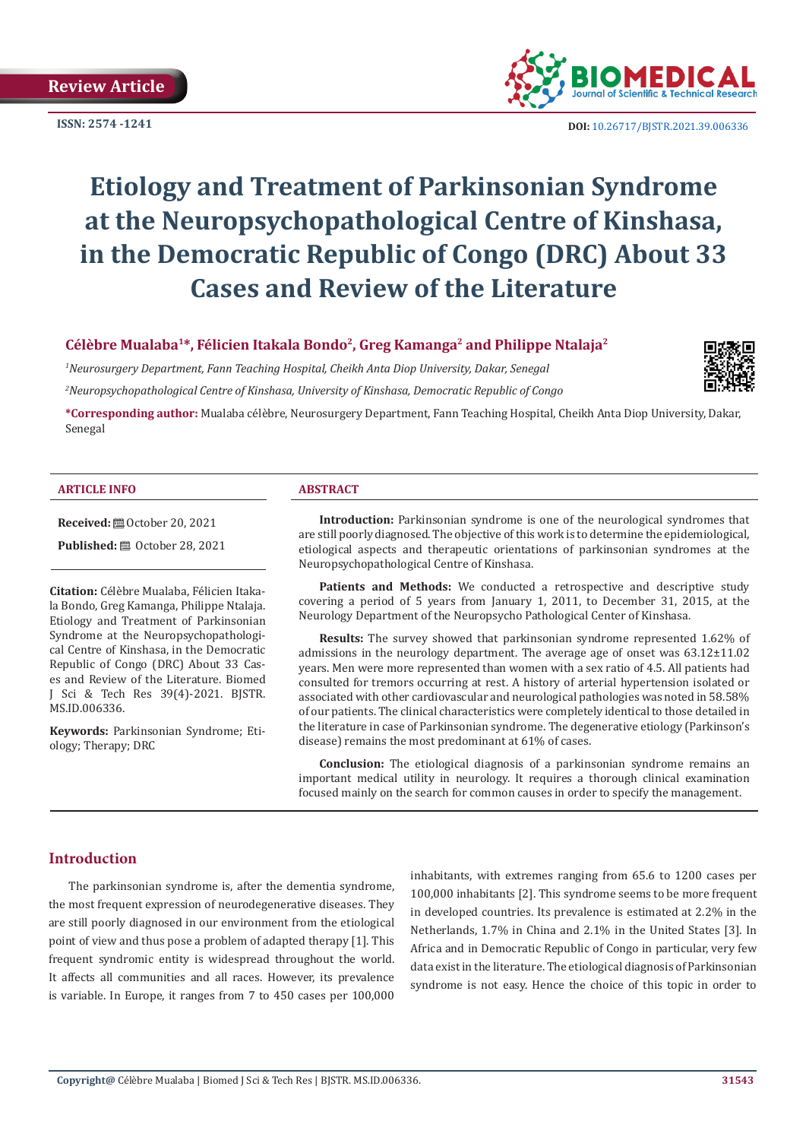**ISSN: 2574 -1241**



 **DOI:** [10.26717/BJSTR.2021.39.006336](https://dx.doi.org/10.26717/BJSTR.2021.39.006336)

# **Etiology and Treatment of Parkinsonian Syndrome at the Neuropsychopathological Centre of Kinshasa, in the Democratic Republic of Congo (DRC) About 33 Cases and Review of the Literature**

## Célèbre Mualaba<sup>1\*</sup>, Félicien Itakala Bondo<sup>2</sup>, Greg Kamanga<sup>2</sup> and Philippe Ntalaja<sup>2</sup>

*1 Neurosurgery Department, Fann Teaching Hospital, Cheikh Anta Diop University, Dakar, Senegal 2 Neuropsychopathological Centre of Kinshasa, University of Kinshasa, Democratic Republic of Congo*



**\*Corresponding author:** Mualaba célèbre, Neurosurgery Department, Fann Teaching Hospital, Cheikh Anta Diop University, Dakar, Senegal

#### **ARTICLE INFO ABSTRACT**

**Received:** ■ October 20, 2021

**Published:** ■ October 28, 2021

**Citation:** Célèbre Mualaba, Félicien Itakala Bondo, Greg Kamanga, Philippe Ntalaja. Etiology and Treatment of Parkinsonian Syndrome at the Neuropsychopathological Centre of Kinshasa, in the Democratic Republic of Congo (DRC) About 33 Cases and Review of the Literature. Biomed J Sci & Tech Res 39(4)-2021. BJSTR. MS.ID.006336.

**Keywords:** Parkinsonian Syndrome; Etiology; Therapy; DRC

**Introduction:** Parkinsonian syndrome is one of the neurological syndromes that are still poorly diagnosed. The objective of this work is to determine the epidemiological, etiological aspects and therapeutic orientations of parkinsonian syndromes at the Neuropsychopathological Centre of Kinshasa.

Patients and Methods: We conducted a retrospective and descriptive study covering a period of 5 years from January 1, 2011, to December 31, 2015, at the Neurology Department of the Neuropsycho Pathological Center of Kinshasa.

**Results:** The survey showed that parkinsonian syndrome represented 1.62% of admissions in the neurology department. The average age of onset was 63.12±11.02 years. Men were more represented than women with a sex ratio of 4.5. All patients had consulted for tremors occurring at rest. A history of arterial hypertension isolated or associated with other cardiovascular and neurological pathologies was noted in 58.58% of our patients. The clinical characteristics were completely identical to those detailed in the literature in case of Parkinsonian syndrome. The degenerative etiology (Parkinson's disease) remains the most predominant at 61% of cases.

**Conclusion:** The etiological diagnosis of a parkinsonian syndrome remains an important medical utility in neurology. It requires a thorough clinical examination focused mainly on the search for common causes in order to specify the management.

# **Introduction**

The parkinsonian syndrome is, after the dementia syndrome, the most frequent expression of neurodegenerative diseases. They are still poorly diagnosed in our environment from the etiological point of view and thus pose a problem of adapted therapy [1]. This frequent syndromic entity is widespread throughout the world. It affects all communities and all races. However, its prevalence is variable. In Europe, it ranges from 7 to 450 cases per 100,000

inhabitants, with extremes ranging from 65.6 to 1200 cases per 100,000 inhabitants [2]. This syndrome seems to be more frequent in developed countries. Its prevalence is estimated at 2.2% in the Netherlands, 1.7% in China and 2.1% in the United States [3]. In Africa and in Democratic Republic of Congo in particular, very few data exist in the literature. The etiological diagnosis of Parkinsonian syndrome is not easy. Hence the choice of this topic in order to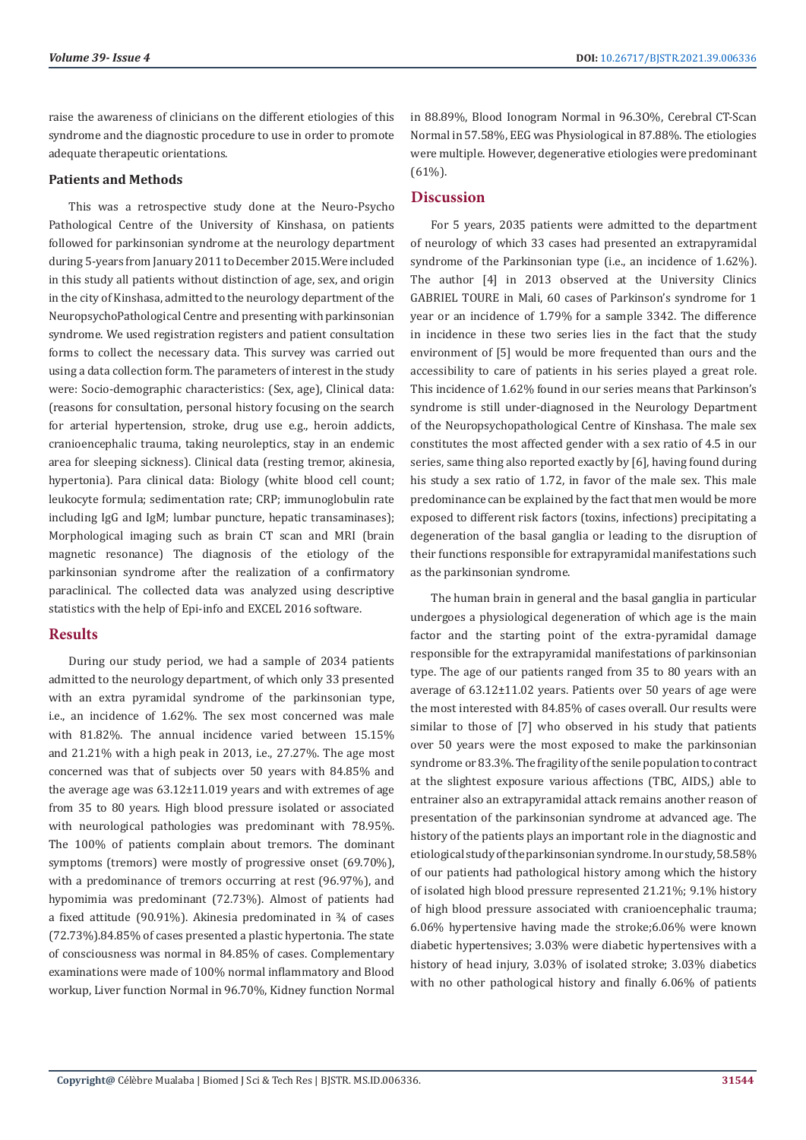raise the awareness of clinicians on the different etiologies of this syndrome and the diagnostic procedure to use in order to promote adequate therapeutic orientations.

#### **Patients and Methods**

This was a retrospective study done at the Neuro-Psycho Pathological Centre of the University of Kinshasa, on patients followed for parkinsonian syndrome at the neurology department during 5-years from January 2011 to December 2015.Were included in this study all patients without distinction of age, sex, and origin in the city of Kinshasa, admitted to the neurology department of the NeuropsychoPathological Centre and presenting with parkinsonian syndrome. We used registration registers and patient consultation forms to collect the necessary data. This survey was carried out using a data collection form. The parameters of interest in the study were: Socio-demographic characteristics: (Sex, age), Clinical data: (reasons for consultation, personal history focusing on the search for arterial hypertension, stroke, drug use e.g., heroin addicts, cranioencephalic trauma, taking neuroleptics, stay in an endemic area for sleeping sickness). Clinical data (resting tremor, akinesia, hypertonia). Para clinical data: Biology (white blood cell count; leukocyte formula; sedimentation rate; CRP; immunoglobulin rate including IgG and IgM; lumbar puncture, hepatic transaminases); Morphological imaging such as brain CT scan and MRI (brain magnetic resonance) The diagnosis of the etiology of the parkinsonian syndrome after the realization of a confirmatory paraclinical. The collected data was analyzed using descriptive statistics with the help of Epi-info and EXCEL 2016 software.

# **Results**

During our study period, we had a sample of 2034 patients admitted to the neurology department, of which only 33 presented with an extra pyramidal syndrome of the parkinsonian type, i.e., an incidence of 1.62%. The sex most concerned was male with 81.82%. The annual incidence varied between 15.15% and 21.21% with a high peak in 2013, i.e., 27.27%. The age most concerned was that of subjects over 50 years with 84.85% and the average age was 63.12±11.019 years and with extremes of age from 35 to 80 years. High blood pressure isolated or associated with neurological pathologies was predominant with 78.95%. The 100% of patients complain about tremors. The dominant symptoms (tremors) were mostly of progressive onset (69.70%), with a predominance of tremors occurring at rest (96.97%), and hypomimia was predominant (72.73%). Almost of patients had a fixed attitude (90.91%). Akinesia predominated in ¾ of cases (72.73%).84.85% of cases presented a plastic hypertonia. The state of consciousness was normal in 84.85% of cases. Complementary examinations were made of 100% normal inflammatory and Blood workup, Liver function Normal in 96.70%, Kidney function Normal

in 88.89%, Blood Ionogram Normal in 96.3O%, Cerebral CT-Scan Normal in 57.58%, EEG was Physiological in 87.88%. The etiologies were multiple. However, degenerative etiologies were predominant  $(61\%)$ .

# **Discussion**

For 5 years, 2035 patients were admitted to the department of neurology of which 33 cases had presented an extrapyramidal syndrome of the Parkinsonian type (i.e., an incidence of 1.62%). The author [4] in 2013 observed at the University Clinics GABRIEL TOURE in Mali, 60 cases of Parkinson's syndrome for 1 year or an incidence of 1.79% for a sample 3342. The difference in incidence in these two series lies in the fact that the study environment of [5] would be more frequented than ours and the accessibility to care of patients in his series played a great role. This incidence of 1.62% found in our series means that Parkinson's syndrome is still under-diagnosed in the Neurology Department of the Neuropsychopathological Centre of Kinshasa. The male sex constitutes the most affected gender with a sex ratio of 4.5 in our series, same thing also reported exactly by [6], having found during his study a sex ratio of 1.72, in favor of the male sex. This male predominance can be explained by the fact that men would be more exposed to different risk factors (toxins, infections) precipitating a degeneration of the basal ganglia or leading to the disruption of their functions responsible for extrapyramidal manifestations such as the parkinsonian syndrome.

The human brain in general and the basal ganglia in particular undergoes a physiological degeneration of which age is the main factor and the starting point of the extra-pyramidal damage responsible for the extrapyramidal manifestations of parkinsonian type. The age of our patients ranged from 35 to 80 years with an average of 63.12±11.02 years. Patients over 50 years of age were the most interested with 84.85% of cases overall. Our results were similar to those of [7] who observed in his study that patients over 50 years were the most exposed to make the parkinsonian syndrome or 83.3%. The fragility of the senile population to contract at the slightest exposure various affections (TBC, AIDS,) able to entrainer also an extrapyramidal attack remains another reason of presentation of the parkinsonian syndrome at advanced age. The history of the patients plays an important role in the diagnostic and etiological study of the parkinsonian syndrome. In our study, 58.58% of our patients had pathological history among which the history of isolated high blood pressure represented 21.21%; 9.1% history of high blood pressure associated with cranioencephalic trauma; 6.06% hypertensive having made the stroke;6.06% were known diabetic hypertensives; 3.03% were diabetic hypertensives with a history of head injury, 3.03% of isolated stroke; 3.03% diabetics with no other pathological history and finally 6.06% of patients